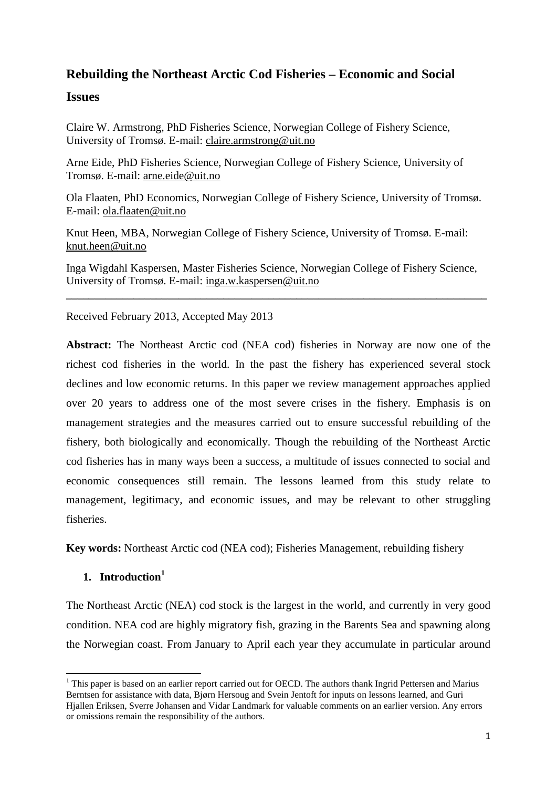# **Rebuilding the Northeast Arctic Cod Fisheries – Economic and Social**

## **Issues**

Claire W. Armstrong, PhD Fisheries Science, Norwegian College of Fishery Science, University of Tromsø. E-mail: [claire.armstrong@uit.no](mailto:claire.armstrong@uit.no)

Arne Eide, PhD Fisheries Science, Norwegian College of Fishery Science, University of Tromsø. E-mail: [arne.eide@uit.no](mailto:arne.eide@uit.no)

Ola Flaaten, PhD Economics, Norwegian College of Fishery Science, University of Tromsø. E-mail: [ola.flaaten@uit.no](mailto:ola.flaaten@uit.no)

Knut Heen, MBA, Norwegian College of Fishery Science, University of Tromsø. E-mail: [knut.heen@uit.no](mailto:knut.heen@uit.no)

Inga Wigdahl Kaspersen, Master Fisheries Science, Norwegian College of Fishery Science, University of Tromsø. E-mail: [inga.w.kaspersen@uit.no](mailto:inga.w.kaspersen@uit.no)

**\_\_\_\_\_\_\_\_\_\_\_\_\_\_\_\_\_\_\_\_\_\_\_\_\_\_\_\_\_\_\_\_\_\_\_\_\_\_\_\_\_\_\_\_\_\_\_\_\_\_\_\_\_\_\_\_\_\_\_\_\_\_\_\_\_\_\_\_\_\_\_\_\_\_\_**

Received February 2013, Accepted May 2013

**Abstract:** The Northeast Arctic cod (NEA cod) fisheries in Norway are now one of the richest cod fisheries in the world. In the past the fishery has experienced several stock declines and low economic returns. In this paper we review management approaches applied over 20 years to address one of the most severe crises in the fishery. Emphasis is on management strategies and the measures carried out to ensure successful rebuilding of the fishery, both biologically and economically. Though the rebuilding of the Northeast Arctic cod fisheries has in many ways been a success, a multitude of issues connected to social and economic consequences still remain. The lessons learned from this study relate to management, legitimacy, and economic issues, and may be relevant to other struggling fisheries.

**Key words:** Northeast Arctic cod (NEA cod); Fisheries Management, rebuilding fishery

## **1. Introduction<sup>1</sup>**

**.** 

The Northeast Arctic (NEA) cod stock is the largest in the world, and currently in very good condition. NEA cod are highly migratory fish, grazing in the Barents Sea and spawning along the Norwegian coast. From January to April each year they accumulate in particular around

 $1$  This paper is based on an earlier report carried out for OECD. The authors thank Ingrid Pettersen and Marius Berntsen for assistance with data, Bjørn Hersoug and Svein Jentoft for inputs on lessons learned, and Guri Hjallen Eriksen, Sverre Johansen and Vidar Landmark for valuable comments on an earlier version. Any errors or omissions remain the responsibility of the authors.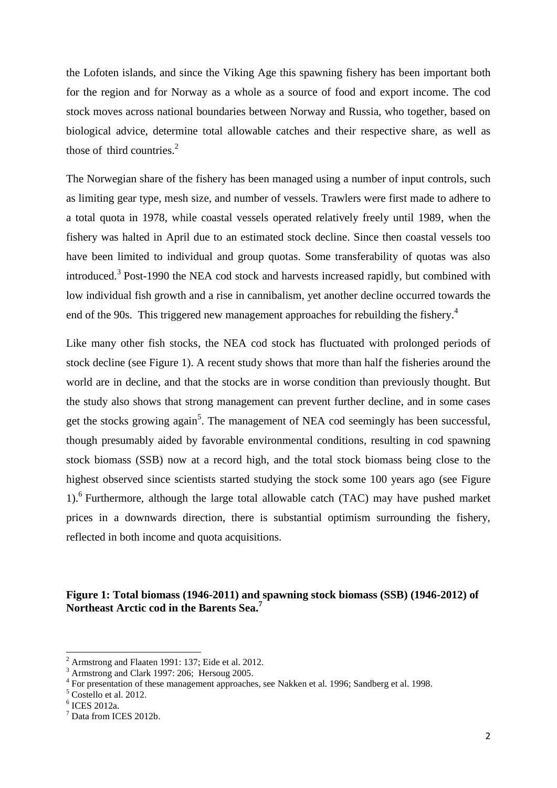the Lofoten islands, and since the Viking Age this spawning fishery has been important both for the region and for Norway as a whole as a source of food and export income. The cod stock moves across national boundaries between Norway and Russia, who together, based on biological advice, determine total allowable catches and their respective share, as well as those of third countries. 2

The Norwegian share of the fishery has been managed using a number of input controls, such as limiting gear type, mesh size, and number of vessels. Trawlers were first made to adhere to a total quota in 1978, while coastal vessels operated relatively freely until 1989, when the fishery was halted in April due to an estimated stock decline. Since then coastal vessels too have been limited to individual and group quotas. Some transferability of quotas was also introduced.<sup>3</sup> Post-1990 the NEA cod stock and harvests increased rapidly, but combined with low individual fish growth and a rise in cannibalism, yet another decline occurred towards the end of the 90s. This triggered new management approaches for rebuilding the fishery.<sup>4</sup>

Like many other fish stocks, the NEA cod stock has fluctuated with prolonged periods of stock decline (see Figure 1). A recent study shows that more than half the fisheries around the world are in decline, and that the stocks are in worse condition than previously thought. But the study also shows that strong management can prevent further decline, and in some cases get the stocks growing again<sup>5</sup>. The management of NEA cod seemingly has been successful, though presumably aided by favorable environmental conditions, resulting in cod spawning stock biomass (SSB) now at a record high, and the total stock biomass being close to the highest observed since scientists started studying the stock some 100 years ago (see Figure 1).<sup>6</sup> Furthermore, although the large total allowable catch (TAC) may have pushed market prices in a downwards direction, there is substantial optimism surrounding the fishery, reflected in both income and quota acquisitions.

**Figure 1: Total biomass (1946-2011) and spawning stock biomass (SSB) (1946-2012) of Northeast Arctic cod in the Barents Sea. 7**

 $\overline{a}$ 

<sup>2</sup> Armstrong and Flaaten 1991: 137; Eide et al. 2012.

 $3$  Armstrong and Clark 1997: 206; Hersoug 2005.

<sup>&</sup>lt;sup>4</sup> For presentation of these management approaches, see Nakken et al. 1996; Sandberg et al. 1998.

<sup>5</sup> Costello et al. 2012.

<sup>6</sup> ICES 2012a.

 $<sup>7</sup>$  Data from ICES 2012b.</sup>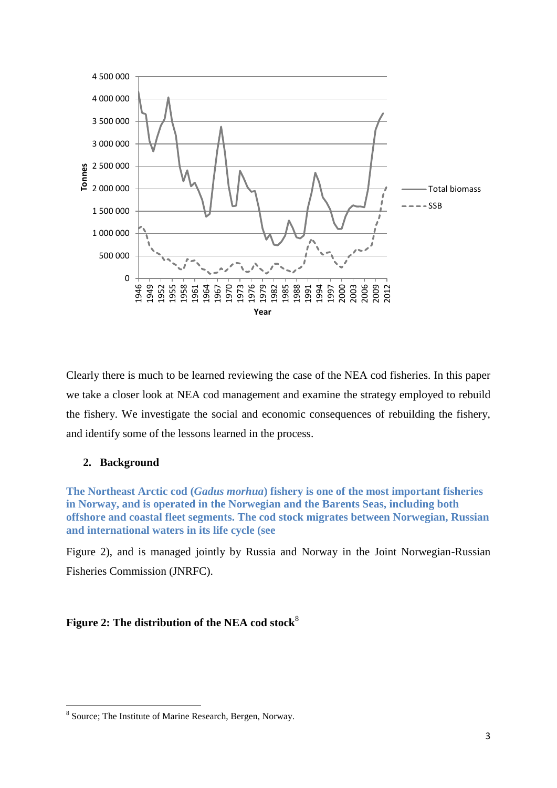

Clearly there is much to be learned reviewing the case of the NEA cod fisheries. In this paper we take a closer look at NEA cod management and examine the strategy employed to rebuild the fishery. We investigate the social and economic consequences of rebuilding the fishery, and identify some of the lessons learned in the process.

### **2. Background**

**.** 

**The Northeast Arctic cod (***Gadus morhua***) fishery is one of the most important fisheries in Norway, and is operated in the Norwegian and the Barents Seas, including both offshore and coastal fleet segments. The cod stock migrates between Norwegian, Russian and international waters in its life cycle (see**

[Figure 2\)](#page-2-0), and is managed jointly by Russia and Norway in the Joint Norwegian-Russian Fisheries Commission (JNRFC).

### <span id="page-2-0"></span>Figure 2: The distribution of the NEA cod stock<sup>8</sup>

<sup>&</sup>lt;sup>8</sup> Source; The Institute of Marine Research, Bergen, Norway.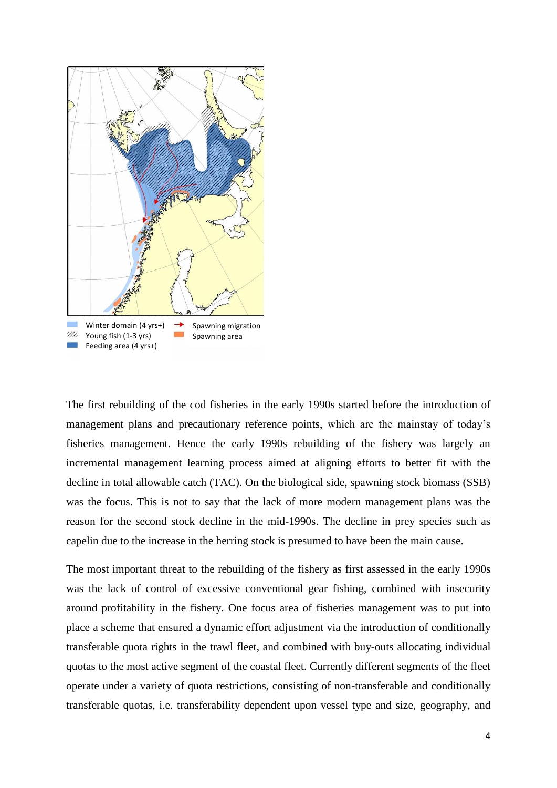

The first rebuilding of the cod fisheries in the early 1990s started before the introduction of management plans and precautionary reference points, which are the mainstay of today's fisheries management. Hence the early 1990s rebuilding of the fishery was largely an incremental management learning process aimed at aligning efforts to better fit with the decline in total allowable catch (TAC). On the biological side, spawning stock biomass (SSB) was the focus. This is not to say that the lack of more modern management plans was the reason for the second stock decline in the mid-1990s. The decline in prey species such as capelin due to the increase in the herring stock is presumed to have been the main cause.

The most important threat to the rebuilding of the fishery as first assessed in the early 1990s was the lack of control of excessive conventional gear fishing, combined with insecurity around profitability in the fishery. One focus area of fisheries management was to put into place a scheme that ensured a dynamic effort adjustment via the introduction of conditionally transferable quota rights in the trawl fleet, and combined with buy-outs allocating individual quotas to the most active segment of the coastal fleet. Currently different segments of the fleet operate under a variety of quota restrictions, consisting of non-transferable and conditionally transferable quotas, i.e. transferability dependent upon vessel type and size, geography, and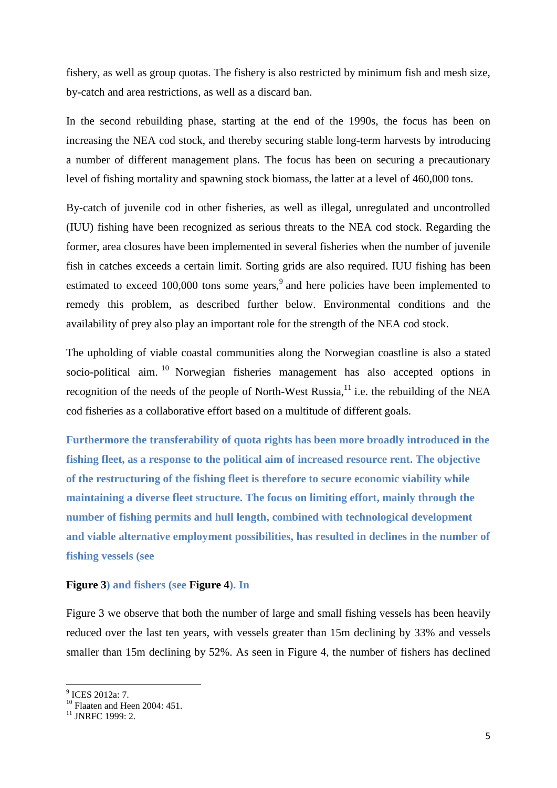fishery, as well as group quotas. The fishery is also restricted by minimum fish and mesh size, by-catch and area restrictions, as well as a discard ban.

In the second rebuilding phase, starting at the end of the 1990s, the focus has been on increasing the NEA cod stock, and thereby securing stable long-term harvests by introducing a number of different management plans. The focus has been on securing a precautionary level of fishing mortality and spawning stock biomass, the latter at a level of 460,000 tons.

By-catch of juvenile cod in other fisheries, as well as illegal, unregulated and uncontrolled (IUU) fishing have been recognized as serious threats to the NEA cod stock. Regarding the former, area closures have been implemented in several fisheries when the number of juvenile fish in catches exceeds a certain limit. Sorting grids are also required. IUU fishing has been estimated to exceed 100,000 tons some years,<sup>9</sup> and here policies have been implemented to remedy this problem, as described further below. Environmental conditions and the availability of prey also play an important role for the strength of the NEA cod stock.

The upholding of viable coastal communities along the Norwegian coastline is also a stated socio-political aim.<sup>10</sup> Norwegian fisheries management has also accepted options in recognition of the needs of the people of North-West Russia, $11$  i.e. the rebuilding of the NEA cod fisheries as a collaborative effort based on a multitude of different goals.

**Furthermore the transferability of quota rights has been more broadly introduced in the fishing fleet, as a response to the political aim of increased resource rent. The objective of the restructuring of the fishing fleet is therefore to secure economic viability while maintaining a diverse fleet structure. The focus on limiting effort, mainly through the number of fishing permits and hull length, combined with technological development and viable alternative employment possibilities, has resulted in declines in the number of fishing vessels (see** 

#### **Figure 3) and fishers (see Figure 4). In**

Figure 3 we observe that both the number of large and small fishing vessels has been heavily reduced over the last ten years, with vessels greater than 15m declining by 33% and vessels smaller than 15m declining by 52%. As seen in Figure 4, the number of fishers has declined

1

<sup>&</sup>lt;sup>9</sup> ICES 2012a: 7.

 $^{10}$  Flaaten and Heen 2004: 451.

 $11$  INRFC 1999: 2.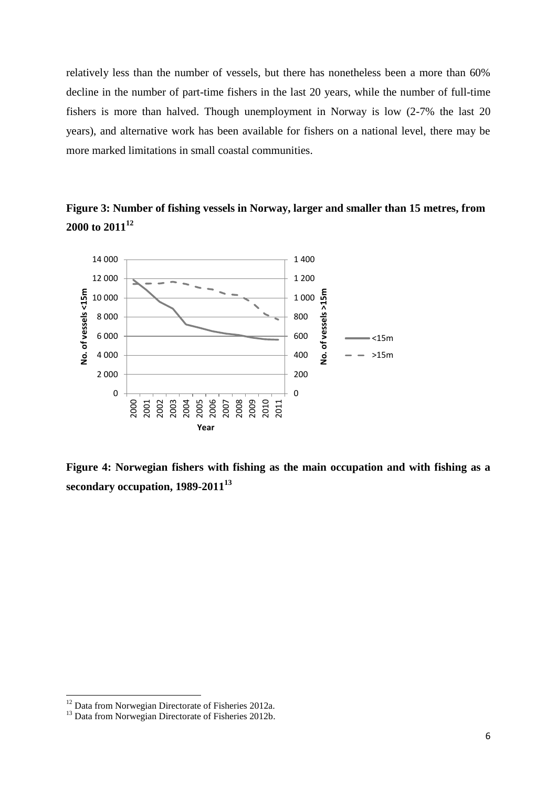relatively less than the number of vessels, but there has nonetheless been a more than 60% decline in the number of part-time fishers in the last 20 years, while the number of full-time fishers is more than halved. Though unemployment in Norway is low (2-7% the last 20 years), and alternative work has been available for fishers on a national level, there may be more marked limitations in small coastal communities.

**Figure 3: Number of fishing vessels in Norway, larger and smaller than 15 metres, from 2000 to 2011<sup>12</sup>**



**Figure 4: Norwegian fishers with fishing as the main occupation and with fishing as a secondary occupation, 1989-2011<sup>13</sup>**

 $12$  Data from Norwegian Directorate of Fisheries 2012a.

<sup>&</sup>lt;sup>13</sup> Data from Norwegian Directorate of Fisheries 2012b.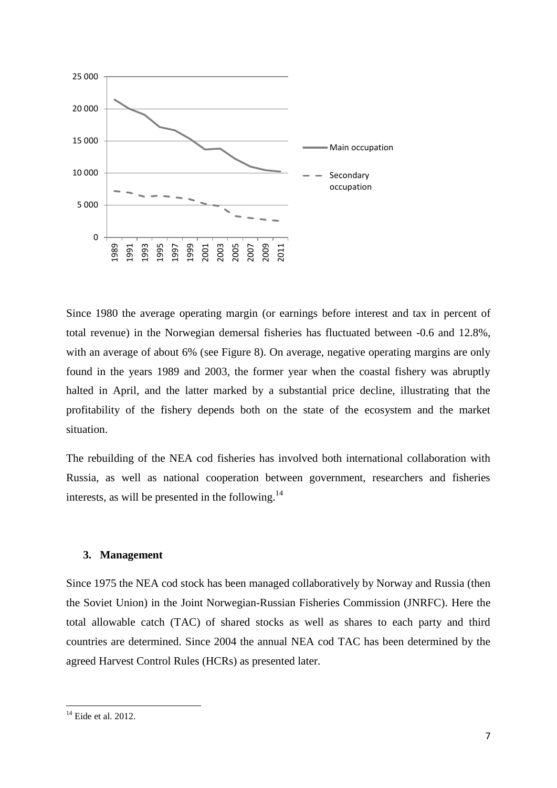

Since 1980 the average operating margin (or earnings before interest and tax in percent of total revenue) in the Norwegian demersal fisheries has fluctuated between -0.6 and 12.8%, with an average of about 6% (see Figure 8). On average, negative operating margins are only found in the years 1989 and 2003, the former year when the coastal fishery was abruptly halted in April, and the latter marked by a substantial price decline, illustrating that the profitability of the fishery depends both on the state of the ecosystem and the market situation.

The rebuilding of the NEA cod fisheries has involved both international collaboration with Russia, as well as national cooperation between government, researchers and fisheries interests, as will be presented in the following. $^{14}$ 

#### **3. Management**

Since 1975 the NEA cod stock has been managed collaboratively by Norway and Russia (then the Soviet Union) in the Joint Norwegian-Russian Fisheries Commission (JNRFC). Here the total allowable catch (TAC) of shared stocks as well as shares to each party and third countries are determined. Since 2004 the annual NEA cod TAC has been determined by the agreed Harvest Control Rules (HCRs) as presented later.

 $14$  Eide et al. 2012.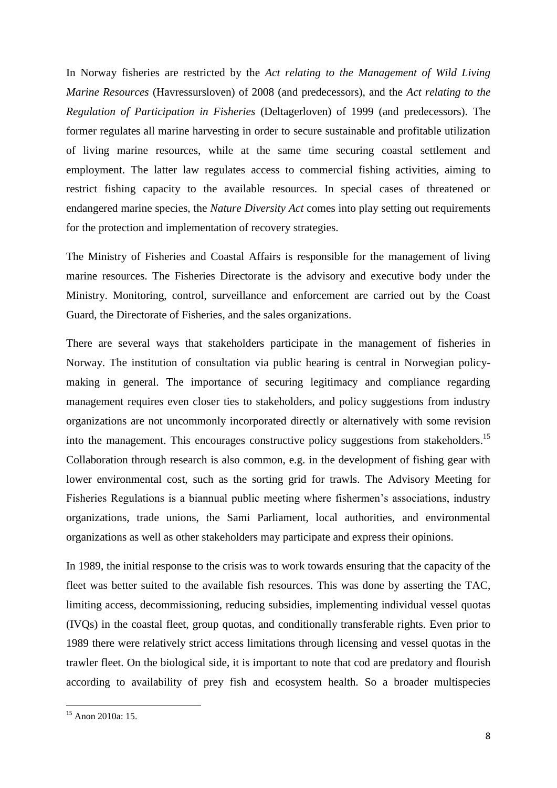In Norway fisheries are restricted by the *Act relating to the Management of Wild Living Marine Resources* (Havressursloven) of 2008 (and predecessors), and the *Act relating to the Regulation of Participation in Fisheries* (Deltagerloven) of 1999 (and predecessors). The former regulates all marine harvesting in order to secure sustainable and profitable utilization of living marine resources, while at the same time securing coastal settlement and employment. The latter law regulates access to commercial fishing activities, aiming to restrict fishing capacity to the available resources. In special cases of threatened or endangered marine species, the *Nature Diversity Act* comes into play setting out requirements for the protection and implementation of recovery strategies.

The Ministry of Fisheries and Coastal Affairs is responsible for the management of living marine resources. The Fisheries Directorate is the advisory and executive body under the Ministry. Monitoring, control, surveillance and enforcement are carried out by the Coast Guard, the Directorate of Fisheries, and the sales organizations.

There are several ways that stakeholders participate in the management of fisheries in Norway. The institution of consultation via public hearing is central in Norwegian policymaking in general. The importance of securing legitimacy and compliance regarding management requires even closer ties to stakeholders, and policy suggestions from industry organizations are not uncommonly incorporated directly or alternatively with some revision into the management. This encourages constructive policy suggestions from stakeholders.<sup>15</sup> Collaboration through research is also common, e.g. in the development of fishing gear with lower environmental cost, such as the sorting grid for trawls. The Advisory Meeting for Fisheries Regulations is a biannual public meeting where fishermen's associations, industry organizations, trade unions, the Sami Parliament, local authorities, and environmental organizations as well as other stakeholders may participate and express their opinions.

In 1989, the initial response to the crisis was to work towards ensuring that the capacity of the fleet was better suited to the available fish resources. This was done by asserting the TAC, limiting access, decommissioning, reducing subsidies, implementing individual vessel quotas (IVQs) in the coastal fleet, group quotas, and conditionally transferable rights. Even prior to 1989 there were relatively strict access limitations through licensing and vessel quotas in the trawler fleet. On the biological side, it is important to note that cod are predatory and flourish according to availability of prey fish and ecosystem health. So a broader multispecies

<sup>&</sup>lt;sup>15</sup> Anon 2010a: 15.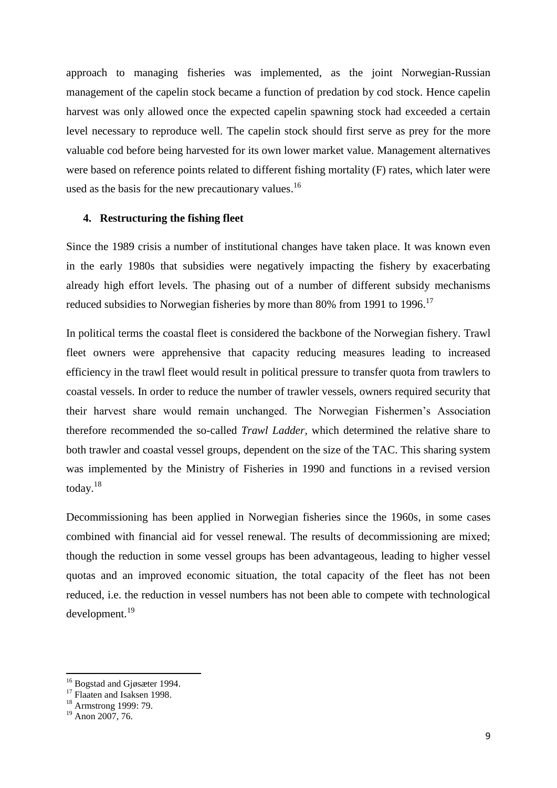approach to managing fisheries was implemented, as the joint Norwegian-Russian management of the capelin stock became a function of predation by cod stock. Hence capelin harvest was only allowed once the expected capelin spawning stock had exceeded a certain level necessary to reproduce well. The capelin stock should first serve as prey for the more valuable cod before being harvested for its own lower market value. Management alternatives were based on reference points related to different fishing mortality (F) rates, which later were used as the basis for the new precautionary values.<sup>16</sup>

#### **4. Restructuring the fishing fleet**

Since the 1989 crisis a number of institutional changes have taken place. It was known even in the early 1980s that subsidies were negatively impacting the fishery by exacerbating already high effort levels. The phasing out of a number of different subsidy mechanisms reduced subsidies to Norwegian fisheries by more than 80% from 1991 to 1996.<sup>17</sup>

In political terms the coastal fleet is considered the backbone of the Norwegian fishery. Trawl fleet owners were apprehensive that capacity reducing measures leading to increased efficiency in the trawl fleet would result in political pressure to transfer quota from trawlers to coastal vessels. In order to reduce the number of trawler vessels, owners required security that their harvest share would remain unchanged. The Norwegian Fishermen's Association therefore recommended the so-called *Trawl Ladder,* which determined the relative share to both trawler and coastal vessel groups, dependent on the size of the TAC. This sharing system was implemented by the Ministry of Fisheries in 1990 and functions in a revised version today. 18

Decommissioning has been applied in Norwegian fisheries since the 1960s, in some cases combined with financial aid for vessel renewal. The results of decommissioning are mixed; though the reduction in some vessel groups has been advantageous, leading to higher vessel quotas and an improved economic situation, the total capacity of the fleet has not been reduced, i.e. the reduction in vessel numbers has not been able to compete with technological development. 19

<sup>&</sup>lt;sup>16</sup> Bogstad and Gjøsæter 1994.

<sup>&</sup>lt;sup>17</sup> Flaaten and Isaksen 1998.

<sup>&</sup>lt;sup>18</sup> Armstrong 1999: 79.

<sup>&</sup>lt;sup>19</sup> Anon 2007, 76.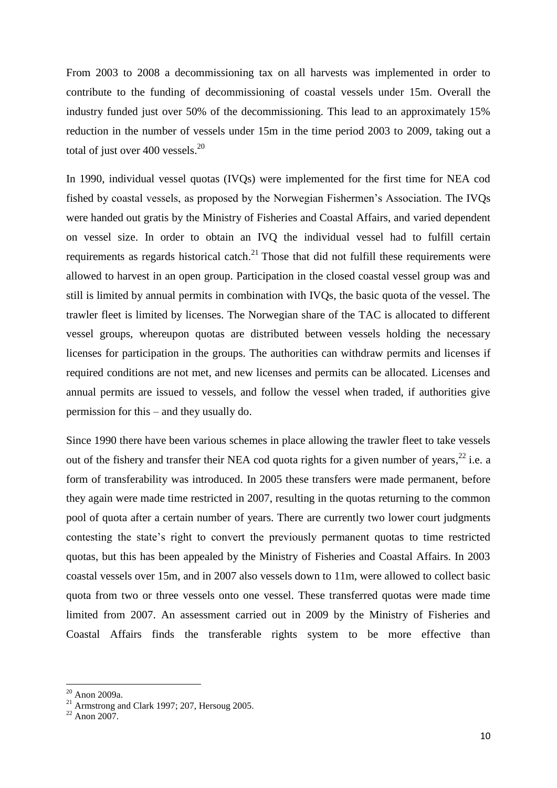From 2003 to 2008 a decommissioning tax on all harvests was implemented in order to contribute to the funding of decommissioning of coastal vessels under 15m. Overall the industry funded just over 50% of the decommissioning. This lead to an approximately 15% reduction in the number of vessels under 15m in the time period 2003 to 2009, taking out a total of just over 400 vessels. $^{20}$ 

In 1990, individual vessel quotas (IVQs) were implemented for the first time for NEA cod fished by coastal vessels, as proposed by the Norwegian Fishermen's Association. The IVQs were handed out gratis by the Ministry of Fisheries and Coastal Affairs, and varied dependent on vessel size. In order to obtain an IVQ the individual vessel had to fulfill certain requirements as regards historical catch. $21$  Those that did not fulfill these requirements were allowed to harvest in an open group. Participation in the closed coastal vessel group was and still is limited by annual permits in combination with IVQs, the basic quota of the vessel. The trawler fleet is limited by licenses. The Norwegian share of the TAC is allocated to different vessel groups, whereupon quotas are distributed between vessels holding the necessary licenses for participation in the groups. The authorities can withdraw permits and licenses if required conditions are not met, and new licenses and permits can be allocated. Licenses and annual permits are issued to vessels, and follow the vessel when traded, if authorities give permission for this – and they usually do.

Since 1990 there have been various schemes in place allowing the trawler fleet to take vessels out of the fishery and transfer their NEA cod quota rights for a given number of years,  $^{22}$  i.e. a form of transferability was introduced. In 2005 these transfers were made permanent, before they again were made time restricted in 2007, resulting in the quotas returning to the common pool of quota after a certain number of years. There are currently two lower court judgments contesting the state's right to convert the previously permanent quotas to time restricted quotas, but this has been appealed by the Ministry of Fisheries and Coastal Affairs. In 2003 coastal vessels over 15m, and in 2007 also vessels down to 11m, were allowed to collect basic quota from two or three vessels onto one vessel. These transferred quotas were made time limited from 2007. An assessment carried out in 2009 by the Ministry of Fisheries and Coastal Affairs finds the transferable rights system to be more effective than

1

 $20$  Anon 2009a.

 $21$  Armstrong and Clark 1997; 207, Hersoug 2005.

 $22$  Anon 2007.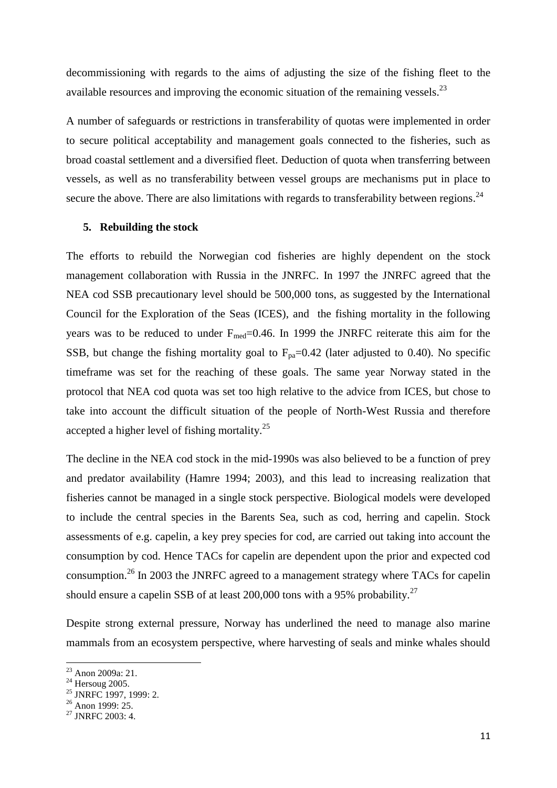decommissioning with regards to the aims of adjusting the size of the fishing fleet to the available resources and improving the economic situation of the remaining vessels.<sup>23</sup>

A number of safeguards or restrictions in transferability of quotas were implemented in order to secure political acceptability and management goals connected to the fisheries, such as broad coastal settlement and a diversified fleet. Deduction of quota when transferring between vessels, as well as no transferability between vessel groups are mechanisms put in place to secure the above. There are also limitations with regards to transferability between regions.<sup>24</sup>

#### **5. Rebuilding the stock**

The efforts to rebuild the Norwegian cod fisheries are highly dependent on the stock management collaboration with Russia in the JNRFC. In 1997 the JNRFC agreed that the NEA cod SSB precautionary level should be 500,000 tons, as suggested by the International Council for the Exploration of the Seas (ICES), and the fishing mortality in the following years was to be reduced to under  $F_{med}=0.46$ . In 1999 the JNRFC reiterate this aim for the SSB, but change the fishing mortality goal to  $F_{pa}=0.42$  (later adjusted to 0.40). No specific timeframe was set for the reaching of these goals. The same year Norway stated in the protocol that NEA cod quota was set too high relative to the advice from ICES, but chose to take into account the difficult situation of the people of North-West Russia and therefore accepted a higher level of fishing mortality. $25$ 

The decline in the NEA cod stock in the mid-1990s was also believed to be a function of prey and predator availability (Hamre 1994; 2003), and this lead to increasing realization that fisheries cannot be managed in a single stock perspective. Biological models were developed to include the central species in the Barents Sea, such as cod, herring and capelin. Stock assessments of e.g. capelin, a key prey species for cod, are carried out taking into account the consumption by cod. Hence TACs for capelin are dependent upon the prior and expected cod consumption.<sup>26</sup> In 2003 the JNRFC agreed to a management strategy where TACs for capelin should ensure a capelin SSB of at least 200,000 tons with a 95% probability.<sup>27</sup>

Despite strong external pressure, Norway has underlined the need to manage also marine mammals from an ecosystem perspective, where harvesting of seals and minke whales should

<sup>&</sup>lt;sup>23</sup> Anon 2009a: 21.

 $^{24}$  Hersoug 2005.

<sup>&</sup>lt;sup>25</sup> JNRFC 1997, 1999: 2.

 $26$  Anon 1999: 25.

 $27$  JNRFC 2003: 4.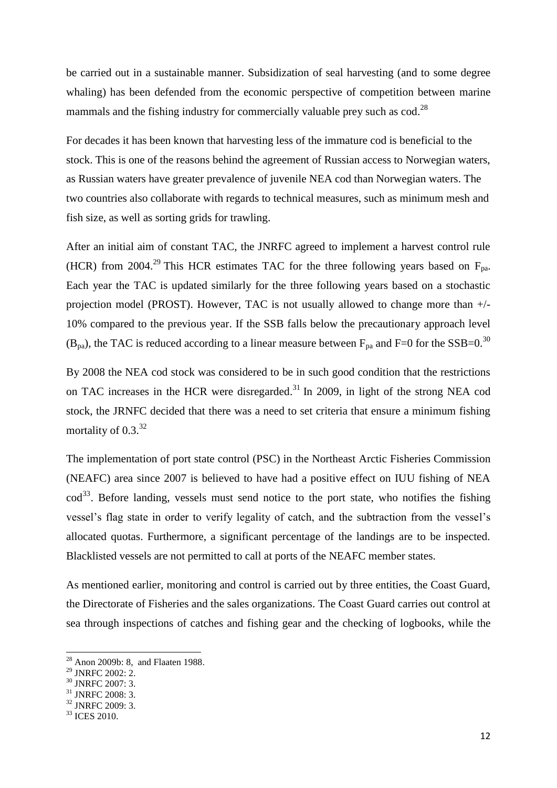be carried out in a sustainable manner. Subsidization of seal harvesting (and to some degree whaling) has been defended from the economic perspective of competition between marine mammals and the fishing industry for commercially valuable prey such as  $\cot$ .<sup>28</sup>

For decades it has been known that harvesting less of the immature cod is beneficial to the stock. This is one of the reasons behind the agreement of Russian access to Norwegian waters, as Russian waters have greater prevalence of juvenile NEA cod than Norwegian waters. The two countries also collaborate with regards to technical measures, such as minimum mesh and fish size, as well as sorting grids for trawling.

After an initial aim of constant TAC, the JNRFC agreed to implement a harvest control rule (HCR) from 2004.<sup>29</sup> This HCR estimates TAC for the three following years based on  $F_{pa}$ . Each year the TAC is updated similarly for the three following years based on a stochastic projection model (PROST). However, TAC is not usually allowed to change more than +/- 10% compared to the previous year. If the SSB falls below the precautionary approach level (B<sub>pa</sub>), the TAC is reduced according to a linear measure between F<sub>pa</sub> and F=0 for the SSB=0.<sup>30</sup>

By 2008 the NEA cod stock was considered to be in such good condition that the restrictions on TAC increases in the HCR were disregarded.<sup>31</sup> In 2009, in light of the strong NEA cod stock, the JRNFC decided that there was a need to set criteria that ensure a minimum fishing mortality of 0.3.<sup>32</sup>

The implementation of port state control (PSC) in the Northeast Arctic Fisheries Commission (NEAFC) area since 2007 is believed to have had a positive effect on IUU fishing of NEA cod<sup>33</sup>. Before landing, vessels must send notice to the port state, who notifies the fishing vessel's flag state in order to verify legality of catch, and the subtraction from the vessel's allocated quotas. Furthermore, a significant percentage of the landings are to be inspected. Blacklisted vessels are not permitted to call at ports of the NEAFC member states.

As mentioned earlier, monitoring and control is carried out by three entities, the Coast Guard, the Directorate of Fisheries and the sales organizations. The Coast Guard carries out control at sea through inspections of catches and fishing gear and the checking of logbooks, while the

 $\overline{a}$ 

 $28$  Anon 2009b: 8, and Flaaten 1988.

<sup>&</sup>lt;sup>29</sup> JNRFC 2002: 2.

<sup>30</sup> JNRFC 2007: 3.

 $31$  JNRFC 2008: 3.

<sup>32</sup> JNRFC 2009: 3.

<sup>33</sup> ICES 2010.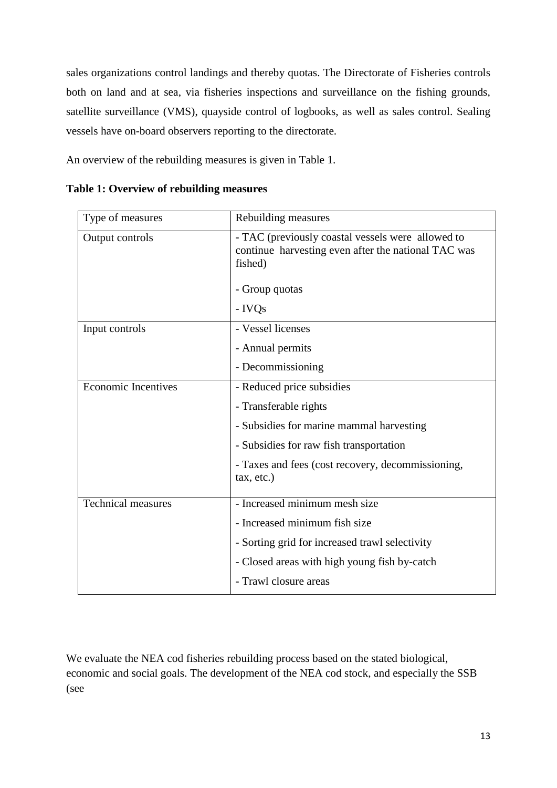sales organizations control landings and thereby quotas. The Directorate of Fisheries controls both on land and at sea, via fisheries inspections and surveillance on the fishing grounds, satellite surveillance (VMS), quayside control of logbooks, as well as sales control. Sealing vessels have on-board observers reporting to the directorate.

An overview of the rebuilding measures is given in Table 1.

| Type of measures           | Rebuilding measures                                                                                                 |  |
|----------------------------|---------------------------------------------------------------------------------------------------------------------|--|
| Output controls            | - TAC (previously coastal vessels were allowed to<br>continue harvesting even after the national TAC was<br>fished) |  |
|                            | - Group quotas                                                                                                      |  |
|                            | - IVQs                                                                                                              |  |
| Input controls             | - Vessel licenses                                                                                                   |  |
|                            | - Annual permits                                                                                                    |  |
|                            | - Decommissioning                                                                                                   |  |
| <b>Economic Incentives</b> | - Reduced price subsidies                                                                                           |  |
|                            | - Transferable rights                                                                                               |  |
|                            | - Subsidies for marine mammal harvesting                                                                            |  |
|                            | - Subsidies for raw fish transportation                                                                             |  |
|                            | - Taxes and fees (cost recovery, decommissioning,<br>tax, etc.)                                                     |  |
| <b>Technical measures</b>  | - Increased minimum mesh size                                                                                       |  |
|                            | - Increased minimum fish size                                                                                       |  |
|                            | - Sorting grid for increased trawl selectivity                                                                      |  |
|                            | - Closed areas with high young fish by-catch                                                                        |  |
|                            | - Trawl closure areas                                                                                               |  |

**Table 1: Overview of rebuilding measures**

We evaluate the NEA cod fisheries rebuilding process based on the stated biological, economic and social goals. The development of the NEA cod stock, and especially the SSB (see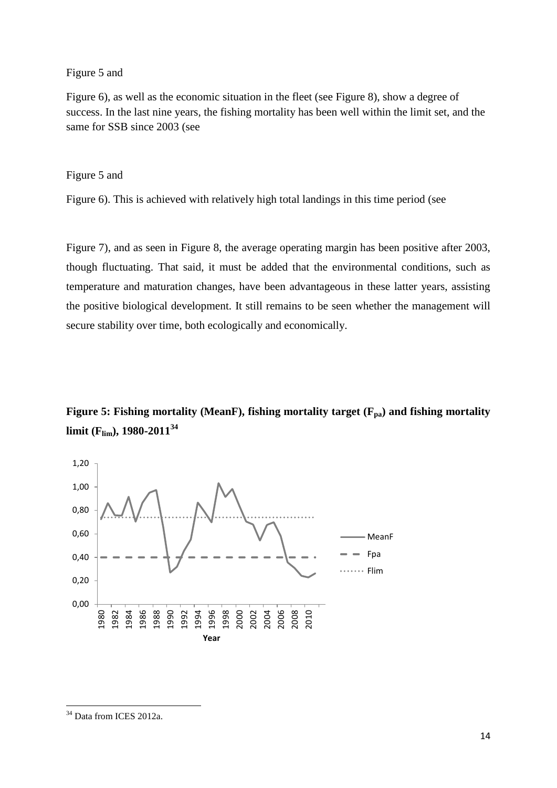Figure 5 and

Figure 6), as well as the economic situation in the fleet (see Figure 8), show a degree of success. In the last nine years, the fishing mortality has been well within the limit set, and the same for SSB since 2003 (see

Figure 5 and

Figure 6). This is achieved with relatively high total landings in this time period (see

Figure 7), and as seen in Figure 8, the average operating margin has been positive after 2003, though fluctuating. That said, it must be added that the environmental conditions, such as temperature and maturation changes, have been advantageous in these latter years, assisting the positive biological development. It still remains to be seen whether the management will secure stability over time, both ecologically and economically.

**Figure 5: Fishing mortality (MeanF), fishing mortality target (Fpa) and fishing mortality limit (Flim), 1980-2011<sup>34</sup>**



<sup>&</sup>lt;sup>34</sup> Data from ICES 2012a.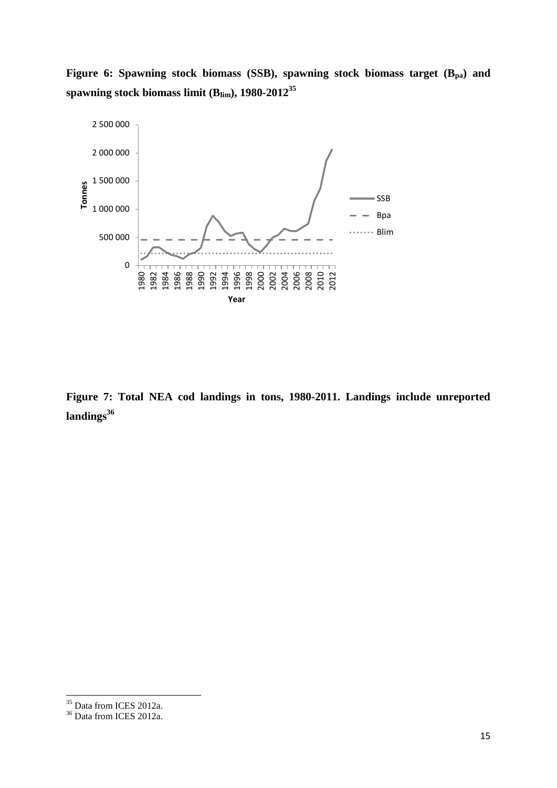**Figure 6: Spawning stock biomass (SSB), spawning stock biomass target (Bpa) and spawning stock biomass limit (Blim), 1980-2012<sup>35</sup>**



**Figure 7: Total NEA cod landings in tons, 1980-2011. Landings include unreported landings<sup>36</sup>**

<sup>&</sup>lt;sup>35</sup> Data from ICES 2012a.

<sup>&</sup>lt;sup>36</sup> Data from ICES 2012a.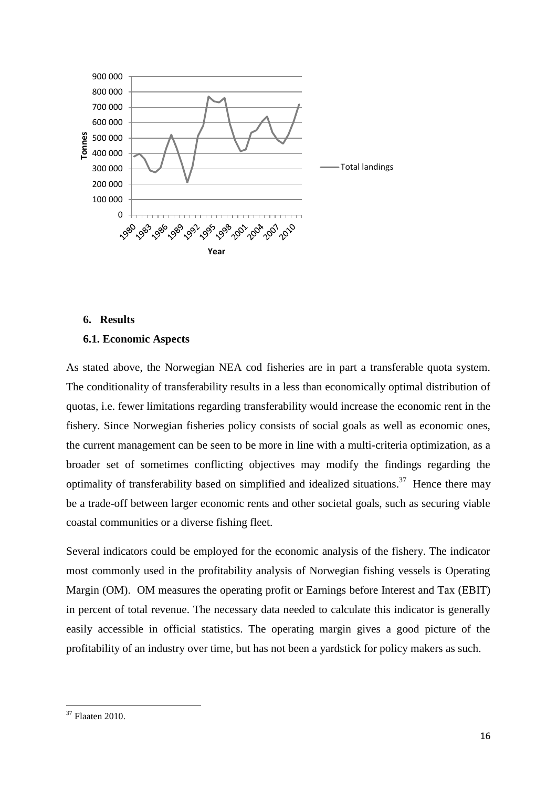

#### **6. Results**

#### **6.1. Economic Aspects**

As stated above, the Norwegian NEA cod fisheries are in part a transferable quota system. The conditionality of transferability results in a less than economically optimal distribution of quotas, i.e. fewer limitations regarding transferability would increase the economic rent in the fishery. Since Norwegian fisheries policy consists of social goals as well as economic ones, the current management can be seen to be more in line with a multi-criteria optimization, as a broader set of sometimes conflicting objectives may modify the findings regarding the optimality of transferability based on simplified and idealized situations.<sup>37</sup> Hence there may be a trade-off between larger economic rents and other societal goals, such as securing viable coastal communities or a diverse fishing fleet.

Several indicators could be employed for the economic analysis of the fishery. The indicator most commonly used in the profitability analysis of Norwegian fishing vessels is Operating Margin (OM). OM measures the operating profit or Earnings before Interest and Tax (EBIT) in percent of total revenue. The necessary data needed to calculate this indicator is generally easily accessible in official statistics. The operating margin gives a good picture of the profitability of an industry over time, but has not been a yardstick for policy makers as such.

 $37$  Flaaten 2010.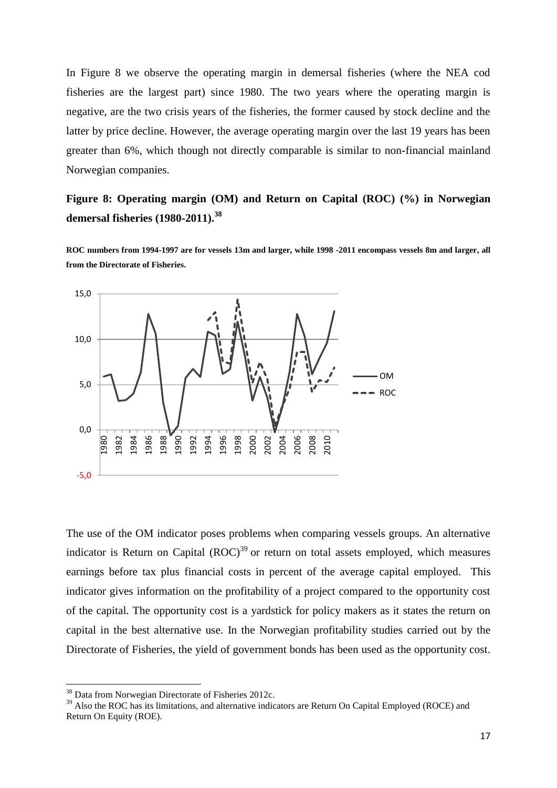In Figure 8 we observe the operating margin in demersal fisheries (where the NEA cod fisheries are the largest part) since 1980. The two years where the operating margin is negative, are the two crisis years of the fisheries, the former caused by stock decline and the latter by price decline. However, the average operating margin over the last 19 years has been greater than 6%, which though not directly comparable is similar to non-financial mainland Norwegian companies.

**Figure 8: Operating margin (OM) and Return on Capital (ROC) (%) in Norwegian demersal fisheries (1980-2011). 38**

**ROC numbers from 1994-1997 are for vessels 13m and larger, while 1998 -2011 encompass vessels 8m and larger, all from the Directorate of Fisheries.** 



The use of the OM indicator poses problems when comparing vessels groups. An alternative indicator is Return on Capital  $(ROC)^{39}$  or return on total assets employed, which measures earnings before tax plus financial costs in percent of the average capital employed. This indicator gives information on the profitability of a project compared to the opportunity cost of the capital. The opportunity cost is a yardstick for policy makers as it states the return on capital in the best alternative use. In the Norwegian profitability studies carried out by the Directorate of Fisheries, the yield of government bonds has been used as the opportunity cost.

1

<sup>38</sup> Data from Norwegian Directorate of Fisheries 2012c.

<sup>&</sup>lt;sup>39</sup> Also the ROC has its limitations, and alternative indicators are Return On Capital Employed (ROCE) and Return On Equity (ROE).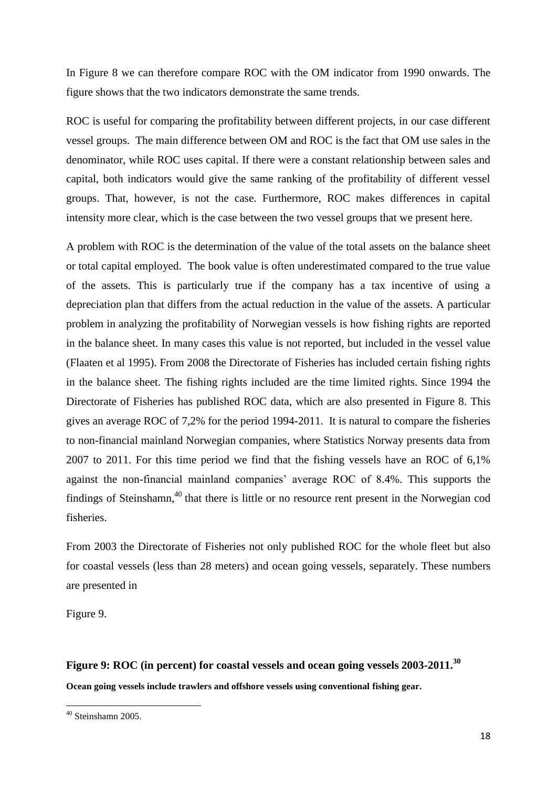In Figure 8 we can therefore compare ROC with the OM indicator from 1990 onwards. The figure shows that the two indicators demonstrate the same trends.

ROC is useful for comparing the profitability between different projects, in our case different vessel groups. The main difference between OM and ROC is the fact that OM use sales in the denominator, while ROC uses capital. If there were a constant relationship between sales and capital, both indicators would give the same ranking of the profitability of different vessel groups. That, however, is not the case. Furthermore, ROC makes differences in capital intensity more clear, which is the case between the two vessel groups that we present here.

A problem with ROC is the determination of the value of the total assets on the balance sheet or total capital employed. The book value is often underestimated compared to the true value of the assets. This is particularly true if the company has a tax incentive of using a depreciation plan that differs from the actual reduction in the value of the assets. A particular problem in analyzing the profitability of Norwegian vessels is how fishing rights are reported in the balance sheet. In many cases this value is not reported, but included in the vessel value (Flaaten et al 1995). From 2008 the Directorate of Fisheries has included certain fishing rights in the balance sheet. The fishing rights included are the time limited rights. Since 1994 the Directorate of Fisheries has published ROC data, which are also presented in Figure 8. This gives an average ROC of 7,2% for the period 1994-2011. It is natural to compare the fisheries to non-financial mainland Norwegian companies, where Statistics Norway presents data from 2007 to 2011. For this time period we find that the fishing vessels have an ROC of 6,1% against the non-financial mainland companies' average ROC of 8.4%. This supports the findings of Steinshamn,<sup>40</sup> that there is little or no resource rent present in the Norwegian cod fisheries.

From 2003 the Directorate of Fisheries not only published ROC for the whole fleet but also for coastal vessels (less than 28 meters) and ocean going vessels, separately. These numbers are presented in

[Figure](#page-17-0) 9.

<span id="page-17-0"></span>**Figure 9: ROC (in percent) for coastal vessels and ocean going vessels 2003-2011. 30 Ocean going vessels include trawlers and offshore vessels using conventional fishing gear.**

**<sup>.</sup>** <sup>40</sup> Steinshamn 2005.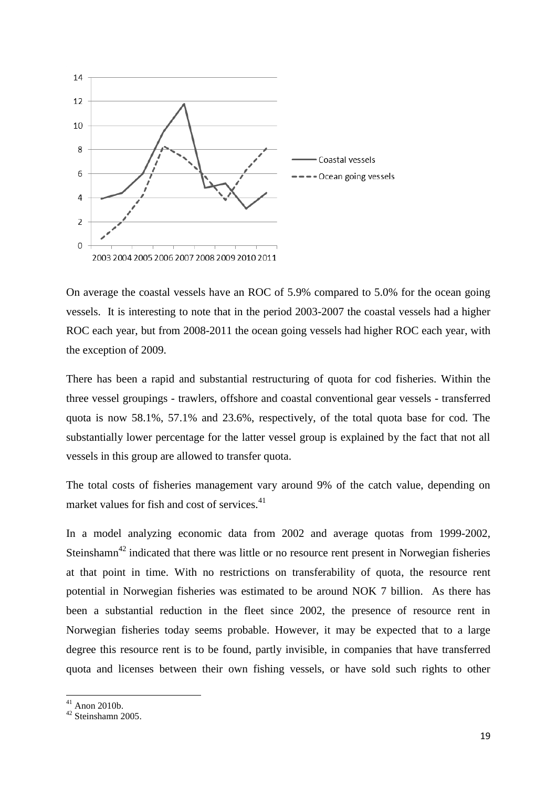

On average the coastal vessels have an ROC of 5.9% compared to 5.0% for the ocean going vessels. It is interesting to note that in the period 2003-2007 the coastal vessels had a higher ROC each year, but from 2008-2011 the ocean going vessels had higher ROC each year, with the exception of 2009.

There has been a rapid and substantial restructuring of quota for cod fisheries. Within the three vessel groupings - trawlers, offshore and coastal conventional gear vessels - transferred quota is now 58.1%, 57.1% and 23.6%, respectively, of the total quota base for cod. The substantially lower percentage for the latter vessel group is explained by the fact that not all vessels in this group are allowed to transfer quota.

The total costs of fisheries management vary around 9% of the catch value, depending on market values for fish and cost of services.<sup>41</sup>

In a model analyzing economic data from 2002 and average quotas from 1999-2002, Steinshamn<sup>42</sup> indicated that there was little or no resource rent present in Norwegian fisheries at that point in time. With no restrictions on transferability of quota, the resource rent potential in Norwegian fisheries was estimated to be around NOK 7 billion. As there has been a substantial reduction in the fleet since 2002, the presence of resource rent in Norwegian fisheries today seems probable. However, it may be expected that to a large degree this resource rent is to be found, partly invisible, in companies that have transferred quota and licenses between their own fishing vessels, or have sold such rights to other

 $41$  Anon 2010b.

 $42$  Steinshamn 2005.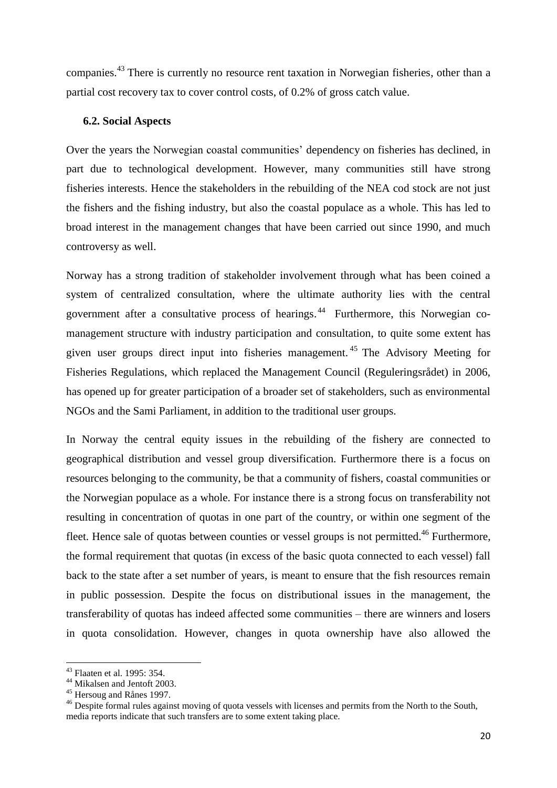companies.<sup>43</sup> There is currently no resource rent taxation in Norwegian fisheries, other than a partial cost recovery tax to cover control costs, of 0.2% of gross catch value.

#### **6.2. Social Aspects**

Over the years the Norwegian coastal communities' dependency on fisheries has declined, in part due to technological development. However, many communities still have strong fisheries interests. Hence the stakeholders in the rebuilding of the NEA cod stock are not just the fishers and the fishing industry, but also the coastal populace as a whole. This has led to broad interest in the management changes that have been carried out since 1990, and much controversy as well.

Norway has a strong tradition of stakeholder involvement through what has been coined a system of centralized consultation, where the ultimate authority lies with the central government after a consultative process of hearings.<sup>44</sup> Furthermore, this Norwegian comanagement structure with industry participation and consultation, to quite some extent has given user groups direct input into fisheries management. <sup>45</sup> The Advisory Meeting for Fisheries Regulations, which replaced the Management Council (Reguleringsrådet) in 2006, has opened up for greater participation of a broader set of stakeholders, such as environmental NGOs and the Sami Parliament, in addition to the traditional user groups.

In Norway the central equity issues in the rebuilding of the fishery are connected to geographical distribution and vessel group diversification. Furthermore there is a focus on resources belonging to the community, be that a community of fishers, coastal communities or the Norwegian populace as a whole. For instance there is a strong focus on transferability not resulting in concentration of quotas in one part of the country, or within one segment of the fleet. Hence sale of quotas between counties or vessel groups is not permitted.<sup>46</sup> Furthermore, the formal requirement that quotas (in excess of the basic quota connected to each vessel) fall back to the state after a set number of years, is meant to ensure that the fish resources remain in public possession. Despite the focus on distributional issues in the management, the transferability of quotas has indeed affected some communities – there are winners and losers in quota consolidation. However, changes in quota ownership have also allowed the

<sup>43</sup> Flaaten et al. 1995: 354.

<sup>&</sup>lt;sup>44</sup> Mikalsen and Jentoft 2003.

<sup>45</sup> Hersoug and Rånes 1997.

<sup>&</sup>lt;sup>46</sup> Despite formal rules against moving of quota vessels with licenses and permits from the North to the South, media reports indicate that such transfers are to some extent taking place.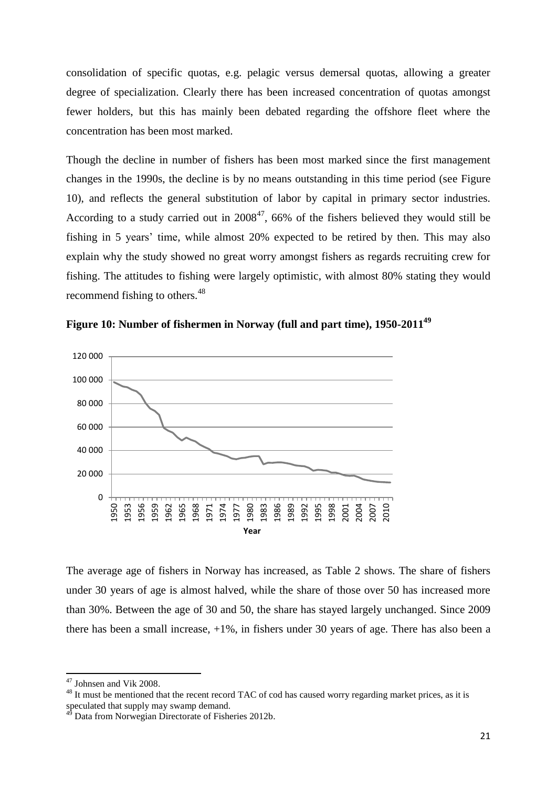consolidation of specific quotas, e.g. pelagic versus demersal quotas, allowing a greater degree of specialization. Clearly there has been increased concentration of quotas amongst fewer holders, but this has mainly been debated regarding the offshore fleet where the concentration has been most marked.

Though the decline in number of fishers has been most marked since the first management changes in the 1990s, the decline is by no means outstanding in this time period (see Figure 10), and reflects the general substitution of labor by capital in primary sector industries. According to a study carried out in  $2008^{47}$ , 66% of the fishers believed they would still be fishing in 5 years' time, while almost 20% expected to be retired by then. This may also explain why the study showed no great worry amongst fishers as regards recruiting crew for fishing. The attitudes to fishing were largely optimistic, with almost 80% stating they would recommend fishing to others.<sup>48</sup>





The average age of fishers in Norway has increased, as Table 2 shows. The share of fishers under 30 years of age is almost halved, while the share of those over 50 has increased more than 30%. Between the age of 30 and 50, the share has stayed largely unchanged. Since 2009 there has been a small increase, +1%, in fishers under 30 years of age. There has also been a

 $47$  Johnsen and Vik 2008.

<sup>&</sup>lt;sup>48</sup> It must be mentioned that the recent record TAC of cod has caused worry regarding market prices, as it is speculated that supply may swamp demand.

Data from Norwegian Directorate of Fisheries 2012b.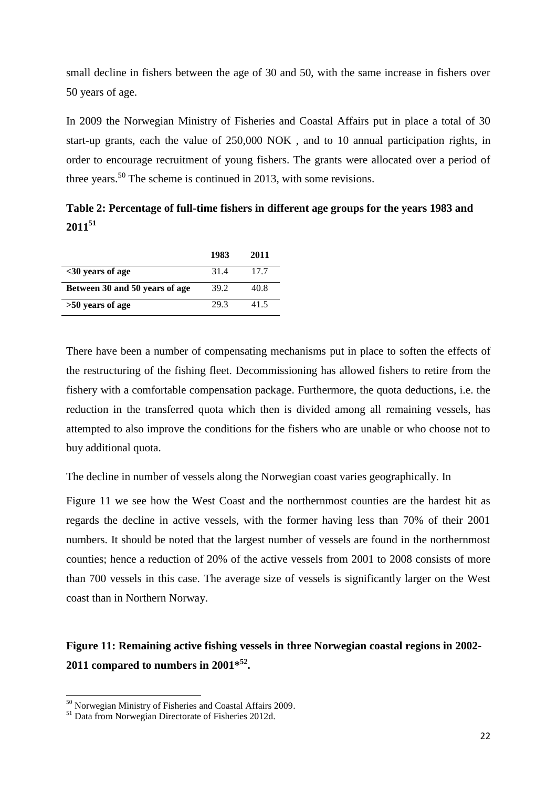small decline in fishers between the age of 30 and 50, with the same increase in fishers over 50 years of age.

In 2009 the Norwegian Ministry of Fisheries and Coastal Affairs put in place a total of 30 start-up grants, each the value of 250,000 NOK , and to 10 annual participation rights, in order to encourage recruitment of young fishers. The grants were allocated over a period of three years.<sup>50</sup> The scheme is continued in 2013, with some revisions.

**Table 2: Percentage of full-time fishers in different age groups for the years 1983 and 2011<sup>51</sup>**

|                                | 1983 | 2011 |
|--------------------------------|------|------|
| $<$ 30 years of age            | 31.4 | 17.7 |
| Between 30 and 50 years of age | 39.2 | 40.8 |
| >50 years of age               | 29.3 | 41.5 |

There have been a number of compensating mechanisms put in place to soften the effects of the restructuring of the fishing fleet. Decommissioning has allowed fishers to retire from the fishery with a comfortable compensation package. Furthermore, the quota deductions, i.e. the reduction in the transferred quota which then is divided among all remaining vessels, has attempted to also improve the conditions for the fishers who are unable or who choose not to buy additional quota.

The decline in number of vessels along the Norwegian coast varies geographically. In

Figure 11 we see how the West Coast and the northernmost counties are the hardest hit as regards the decline in active vessels, with the former having less than 70% of their 2001 numbers. It should be noted that the largest number of vessels are found in the northernmost counties; hence a reduction of 20% of the active vessels from 2001 to 2008 consists of more than 700 vessels in this case. The average size of vessels is significantly larger on the West coast than in Northern Norway.

# **Figure 11: Remaining active fishing vessels in three Norwegian coastal regions in 2002- 2011 compared to numbers in 2001\* 52 .**

<sup>&</sup>lt;sup>50</sup> Norwegian Ministry of Fisheries and Coastal Affairs 2009.

<sup>&</sup>lt;sup>51</sup> Data from Norwegian Directorate of Fisheries 2012d.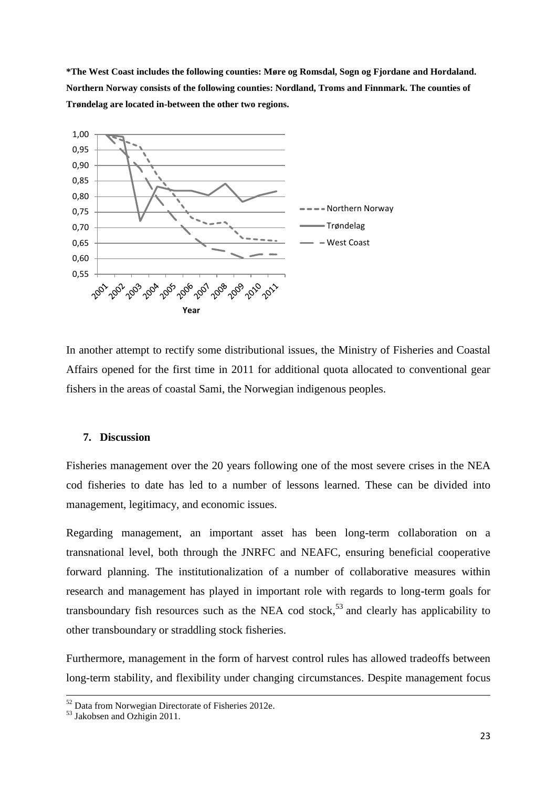**\*The West Coast includes the following counties: Møre og Romsdal, Sogn og Fjordane and Hordaland. Northern Norway consists of the following counties: Nordland, Troms and Finnmark. The counties of Trøndelag are located in-between the other two regions.** 



In another attempt to rectify some distributional issues, the Ministry of Fisheries and Coastal Affairs opened for the first time in 2011 for additional quota allocated to conventional gear fishers in the areas of coastal Sami, the Norwegian indigenous peoples.

### **7. Discussion**

Fisheries management over the 20 years following one of the most severe crises in the NEA cod fisheries to date has led to a number of lessons learned. These can be divided into management, legitimacy, and economic issues.

Regarding management, an important asset has been long-term collaboration on a transnational level, both through the JNRFC and NEAFC, ensuring beneficial cooperative forward planning. The institutionalization of a number of collaborative measures within research and management has played in important role with regards to long-term goals for transboundary fish resources such as the NEA cod stock,<sup>53</sup> and clearly has applicability to other transboundary or straddling stock fisheries.

Furthermore, management in the form of harvest control rules has allowed tradeoffs between long-term stability, and flexibility under changing circumstances. Despite management focus

 $\overline{a}$ 

 $52$  Data from Norwegian Directorate of Fisheries 2012e.

 $\frac{53}{3}$  Jakobsen and Ozhigin 2011.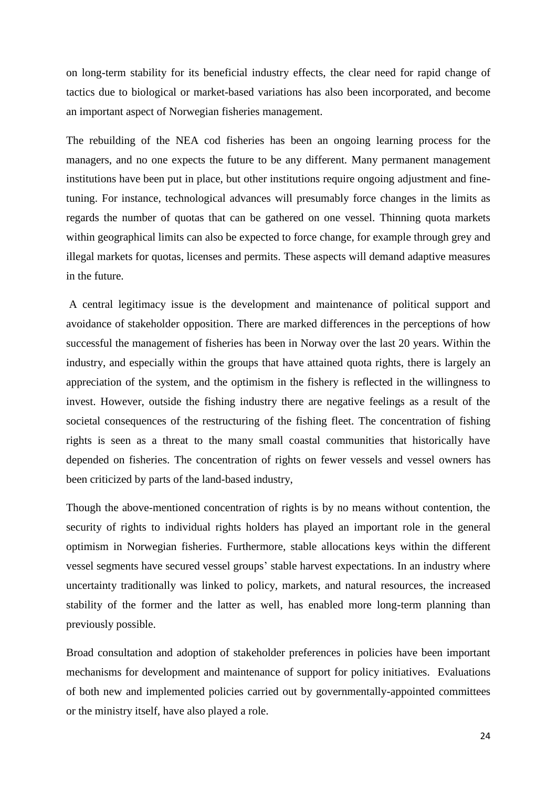on long-term stability for its beneficial industry effects, the clear need for rapid change of tactics due to biological or market-based variations has also been incorporated, and become an important aspect of Norwegian fisheries management.

The rebuilding of the NEA cod fisheries has been an ongoing learning process for the managers, and no one expects the future to be any different. Many permanent management institutions have been put in place, but other institutions require ongoing adjustment and finetuning. For instance, technological advances will presumably force changes in the limits as regards the number of quotas that can be gathered on one vessel. Thinning quota markets within geographical limits can also be expected to force change, for example through grey and illegal markets for quotas, licenses and permits. These aspects will demand adaptive measures in the future.

A central legitimacy issue is the development and maintenance of political support and avoidance of stakeholder opposition. There are marked differences in the perceptions of how successful the management of fisheries has been in Norway over the last 20 years. Within the industry, and especially within the groups that have attained quota rights, there is largely an appreciation of the system, and the optimism in the fishery is reflected in the willingness to invest. However, outside the fishing industry there are negative feelings as a result of the societal consequences of the restructuring of the fishing fleet. The concentration of fishing rights is seen as a threat to the many small coastal communities that historically have depended on fisheries. The concentration of rights on fewer vessels and vessel owners has been criticized by parts of the land-based industry,

Though the above-mentioned concentration of rights is by no means without contention, the security of rights to individual rights holders has played an important role in the general optimism in Norwegian fisheries. Furthermore, stable allocations keys within the different vessel segments have secured vessel groups' stable harvest expectations. In an industry where uncertainty traditionally was linked to policy, markets, and natural resources, the increased stability of the former and the latter as well, has enabled more long-term planning than previously possible.

Broad consultation and adoption of stakeholder preferences in policies have been important mechanisms for development and maintenance of support for policy initiatives. Evaluations of both new and implemented policies carried out by governmentally-appointed committees or the ministry itself, have also played a role.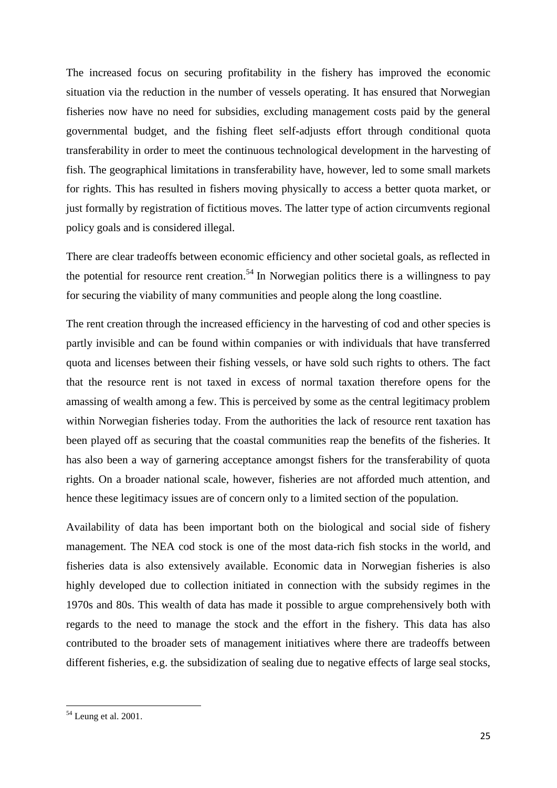The increased focus on securing profitability in the fishery has improved the economic situation via the reduction in the number of vessels operating. It has ensured that Norwegian fisheries now have no need for subsidies, excluding management costs paid by the general governmental budget, and the fishing fleet self-adjusts effort through conditional quota transferability in order to meet the continuous technological development in the harvesting of fish. The geographical limitations in transferability have, however, led to some small markets for rights. This has resulted in fishers moving physically to access a better quota market, or just formally by registration of fictitious moves. The latter type of action circumvents regional policy goals and is considered illegal.

There are clear tradeoffs between economic efficiency and other societal goals, as reflected in the potential for resource rent creation.<sup>54</sup> In Norwegian politics there is a willingness to pay for securing the viability of many communities and people along the long coastline.

The rent creation through the increased efficiency in the harvesting of cod and other species is partly invisible and can be found within companies or with individuals that have transferred quota and licenses between their fishing vessels, or have sold such rights to others. The fact that the resource rent is not taxed in excess of normal taxation therefore opens for the amassing of wealth among a few. This is perceived by some as the central legitimacy problem within Norwegian fisheries today. From the authorities the lack of resource rent taxation has been played off as securing that the coastal communities reap the benefits of the fisheries. It has also been a way of garnering acceptance amongst fishers for the transferability of quota rights. On a broader national scale, however, fisheries are not afforded much attention, and hence these legitimacy issues are of concern only to a limited section of the population.

Availability of data has been important both on the biological and social side of fishery management. The NEA cod stock is one of the most data-rich fish stocks in the world, and fisheries data is also extensively available. Economic data in Norwegian fisheries is also highly developed due to collection initiated in connection with the subsidy regimes in the 1970s and 80s. This wealth of data has made it possible to argue comprehensively both with regards to the need to manage the stock and the effort in the fishery. This data has also contributed to the broader sets of management initiatives where there are tradeoffs between different fisheries, e.g. the subsidization of sealing due to negative effects of large seal stocks,

 $54$  Leung et al. 2001.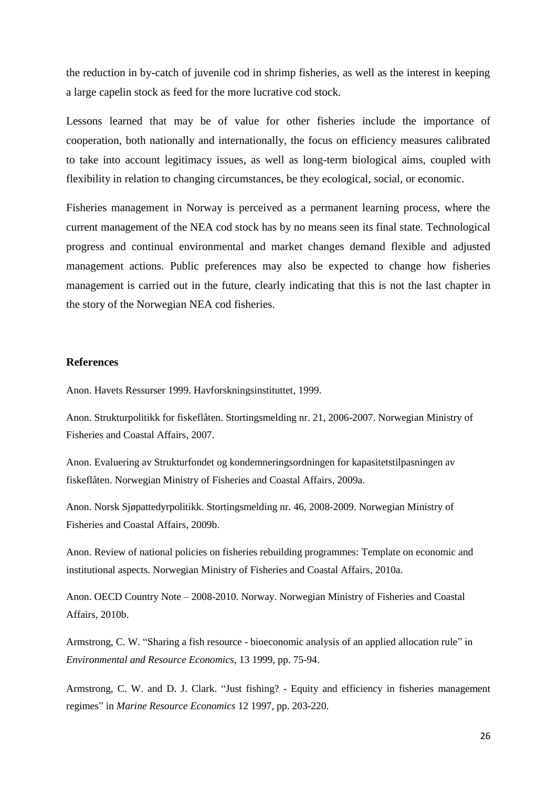the reduction in by-catch of juvenile cod in shrimp fisheries, as well as the interest in keeping a large capelin stock as feed for the more lucrative cod stock.

Lessons learned that may be of value for other fisheries include the importance of cooperation, both nationally and internationally, the focus on efficiency measures calibrated to take into account legitimacy issues, as well as long-term biological aims, coupled with flexibility in relation to changing circumstances, be they ecological, social, or economic.

Fisheries management in Norway is perceived as a permanent learning process, where the current management of the NEA cod stock has by no means seen its final state. Technological progress and continual environmental and market changes demand flexible and adjusted management actions. Public preferences may also be expected to change how fisheries management is carried out in the future, clearly indicating that this is not the last chapter in the story of the Norwegian NEA cod fisheries.

#### **References**

Anon. Havets Ressurser 1999. Havforskningsinstituttet, 1999.

Anon. Strukturpolitikk for fiskeflåten. Stortingsmelding nr. 21, 2006-2007. Norwegian Ministry of Fisheries and Coastal Affairs, 2007.

Anon. Evaluering av Strukturfondet og kondemneringsordningen for kapasitetstilpasningen av fiskeflåten. Norwegian Ministry of Fisheries and Coastal Affairs, 2009a.

Anon. Norsk Sjøpattedyrpolitikk. Stortingsmelding nr. 46, 2008-2009. Norwegian Ministry of Fisheries and Coastal Affairs, 2009b.

Anon. Review of national policies on fisheries rebuilding programmes: Template on economic and institutional aspects. Norwegian Ministry of Fisheries and Coastal Affairs, 2010a.

Anon. OECD Country Note – 2008-2010. Norway. Norwegian Ministry of Fisheries and Coastal Affairs, 2010b.

Armstrong, C. W. "Sharing a fish resource - bioeconomic analysis of an applied allocation rule" in *Environmental and Resource Economics*, 13 1999, pp. 75-94.

Armstrong, C. W. and D. J. Clark. "Just fishing? - Equity and efficiency in fisheries management regimes" in *Marine Resource Economics* 12 1997, pp. 203-220.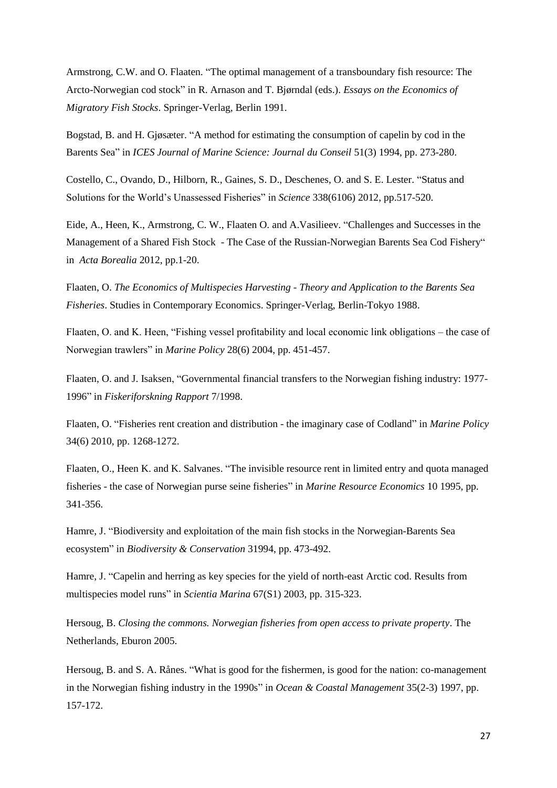Armstrong, C.W. and O. Flaaten. "The optimal management of a transboundary fish resource: The Arcto-Norwegian cod stock" in R. Arnason and T. Bjørndal (eds.). *Essays on the Economics of Migratory Fish Stocks*. Springer-Verlag, Berlin 1991.

Bogstad, B. and H. Gjøsæter. "A method for estimating the consumption of capelin by cod in the Barents Sea" in *ICES Journal of Marine Science: Journal du Conseil* 51(3) 1994, pp. 273-280.

Costello, C., Ovando, D., Hilborn, R., Gaines, S. D., Deschenes, O. and S. E. Lester. "Status and Solutions for the World's Unassessed Fisheries" in *Science* 338(6106) 2012, pp.517-520.

Eide, A., Heen, K., Armstrong, C. W., Flaaten O. and A.Vasilieev. "Challenges and Successes in the Management of a Shared Fish Stock - The Case of the Russian-Norwegian Barents Sea Cod Fishery" in *Acta Borealia* 2012, pp.1-20.

Flaaten, O. *The Economics of Multispecies Harvesting - Theory and Application to the Barents Sea Fisheries*. Studies in Contemporary Economics. Springer-Verlag, Berlin-Tokyo 1988.

Flaaten, O. and K. Heen, "Fishing vessel profitability and local economic link obligations – the case of Norwegian trawlers" in *Marine Policy* 28(6) 2004, pp. 451-457.

Flaaten, O. and J. Isaksen, "Governmental financial transfers to the Norwegian fishing industry: 1977- 1996" in *Fiskeriforskning Rapport* 7/1998.

Flaaten, O. "Fisheries rent creation and distribution - the imaginary case of Codland" in *Marine Policy* 34(6) 2010, pp. 1268-1272.

Flaaten, O., Heen K. and K. Salvanes. "The invisible resource rent in limited entry and quota managed fisheries - the case of Norwegian purse seine fisheries" in *Marine Resource Economics* 10 1995, pp. 341-356.

Hamre, J. "Biodiversity and exploitation of the main fish stocks in the Norwegian-Barents Sea ecosystem" in *Biodiversity & Conservation* 31994, pp. 473-492.

Hamre, J. "Capelin and herring as key species for the yield of north-east Arctic cod. Results from multispecies model runs" in *Scientia Marina* 67(S1) 2003, pp. 315-323.

Hersoug, B. *Closing the commons. Norwegian fisheries from open access to private property*. The Netherlands, Eburon 2005.

Hersoug, B. and S. A. Rånes. "What is good for the fishermen, is good for the nation: co-management in the Norwegian fishing industry in the 1990s" in *Ocean & Coastal Management* 35(2-3) 1997, pp. 157-172.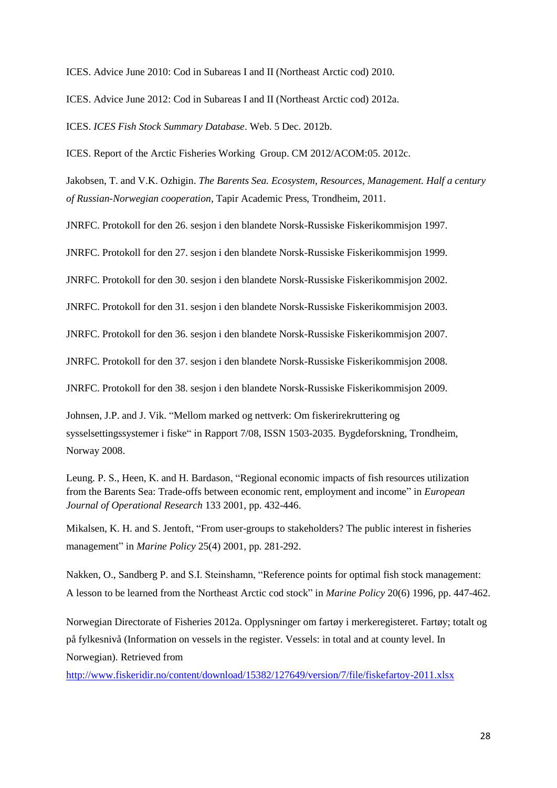ICES. Advice June 2010: Cod in Subareas I and II (Northeast Arctic cod) 2010.

ICES. Advice June 2012: Cod in Subareas I and II (Northeast Arctic cod) 2012a.

ICES. *ICES Fish Stock Summary Database*. Web. 5 Dec. 2012b.

ICES. Report of the Arctic Fisheries Working Group. CM 2012/ACOM:05. 2012c.

Jakobsen, T. and V.K. Ozhigin. *The Barents Sea. Ecosystem, Resources, Management. Half a century of Russian-Norwegian cooperation*, Tapir Academic Press, Trondheim, 2011.

JNRFC. Protokoll for den 26. sesjon i den blandete Norsk-Russiske Fiskerikommisjon 1997.

JNRFC. Protokoll for den 27. sesjon i den blandete Norsk-Russiske Fiskerikommisjon 1999.

JNRFC. Protokoll for den 30. sesjon i den blandete Norsk-Russiske Fiskerikommisjon 2002.

JNRFC. Protokoll for den 31. sesjon i den blandete Norsk-Russiske Fiskerikommisjon 2003.

JNRFC. Protokoll for den 36. sesjon i den blandete Norsk-Russiske Fiskerikommisjon 2007.

JNRFC. Protokoll for den 37. sesjon i den blandete Norsk-Russiske Fiskerikommisjon 2008.

JNRFC. Protokoll for den 38. sesjon i den blandete Norsk-Russiske Fiskerikommisjon 2009.

Johnsen, J.P. and J. Vik. "Mellom marked og nettverk: Om fiskerirekruttering og sysselsettingssystemer i fiske" in Rapport 7/08, ISSN 1503-2035. Bygdeforskning, Trondheim, Norway 2008.

Leung. P. S., Heen, K. and H. Bardason, "Regional economic impacts of fish resources utilization from the Barents Sea: Trade-offs between economic rent, employment and income" in *European Journal of Operational Research* 133 2001, pp. 432-446.

Mikalsen, K. H. and S. Jentoft, "From user-groups to stakeholders? The public interest in fisheries management" in *Marine Policy* 25(4) 2001, pp. 281-292.

Nakken, O., Sandberg P. and S.I. Steinshamn, "Reference points for optimal fish stock management: A lesson to be learned from the Northeast Arctic cod stock" in *Marine Policy* 20(6) 1996, pp. 447-462.

Norwegian Directorate of Fisheries 2012a. Opplysninger om fartøy i merkeregisteret. Fartøy; totalt og på fylkesnivå (Information on vessels in the register. Vessels: in total and at county level. In Norwegian). Retrieved from

<http://www.fiskeridir.no/content/download/15382/127649/version/7/file/fiskefartoy-2011.xlsx>